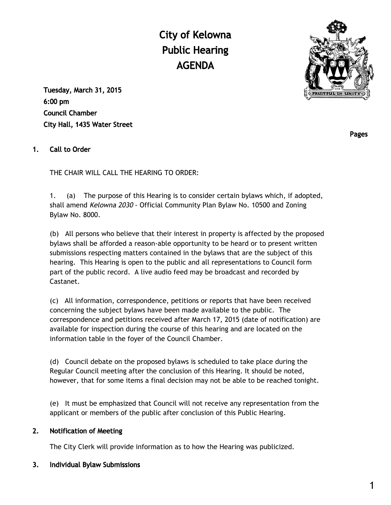City of Kelowna Public Hearing AGENDA



Tuesday, March 31, 2015 6:00 pm Council Chamber City Hall, 1435 Water Street

## 1. Call to Order

THE CHAIR WILL CALL THE HEARING TO ORDER:

1. (a) The purpose of this Hearing is to consider certain bylaws which, if adopted, shall amend Kelowna 2030 - Official Community Plan Bylaw No. 10500 and Zoning Bylaw No. 8000.

(b) All persons who believe that their interest in property is affected by the proposed bylaws shall be afforded a reason-able opportunity to be heard or to present written submissions respecting matters contained in the bylaws that are the subject of this hearing. This Hearing is open to the public and all representations to Council form part of the public record. A live audio feed may be broadcast and recorded by Castanet.

(c) All information, correspondence, petitions or reports that have been received concerning the subject bylaws have been made available to the public. The correspondence and petitions received after March 17, 2015 (date of notification) are available for inspection during the course of this hearing and are located on the information table in the foyer of the Council Chamber.

(d) Council debate on the proposed bylaws is scheduled to take place during the Regular Council meeting after the conclusion of this Hearing. It should be noted, however, that for some items a final decision may not be able to be reached tonight.

(e) It must be emphasized that Council will not receive any representation from the applicant or members of the public after conclusion of this Public Hearing.

### 2. Notification of Meeting

The City Clerk will provide information as to how the Hearing was publicized.

### 3. Individual Bylaw Submissions

Pages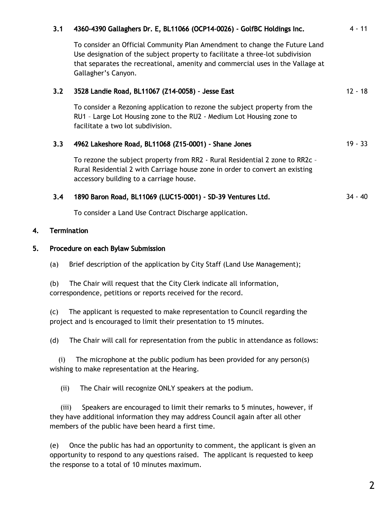## 3.1 4360-4390 Gallaghers Dr. E, BL11066 (OCP14-0026) - GolfBC Holdings Inc. 4 - 11

To consider an Official Community Plan Amendment to change the Future Land Use designation of the subject property to facilitate a three-lot subdivision that separates the recreational, amenity and commercial uses in the Vallage at Gallagher's Canyon.

# 3.2 3528 Landie Road, BL11067 (Z14-0058) - Jesse East 12 - 18

To consider a Rezoning application to rezone the subject property from the RU1 – Large Lot Housing zone to the RU2 - Medium Lot Housing zone to facilitate a two lot subdivision.

### 3.3 4962 Lakeshore Road, BL11068 (Z15-0001) - Shane Jones 19 19 - 33

To rezone the subject property from RR2 - Rural Residential 2 zone to RR2c – Rural Residential 2 with Carriage house zone in order to convert an existing accessory building to a carriage house.

### 3.4 1890 Baron Road, BL11069 (LUC15-0001) - SD-39 Ventures Ltd. 34 - 40

To consider a Land Use Contract Discharge application.

### 4. Termination

#### 5. Procedure on each Bylaw Submission

(a) Brief description of the application by City Staff (Land Use Management);

(b) The Chair will request that the City Clerk indicate all information, correspondence, petitions or reports received for the record.

(c) The applicant is requested to make representation to Council regarding the project and is encouraged to limit their presentation to 15 minutes.

(d) The Chair will call for representation from the public in attendance as follows:

 (i) The microphone at the public podium has been provided for any person(s) wishing to make representation at the Hearing.

(ii) The Chair will recognize ONLY speakers at the podium.

 (iii) Speakers are encouraged to limit their remarks to 5 minutes, however, if they have additional information they may address Council again after all other members of the public have been heard a first time.

(e) Once the public has had an opportunity to comment, the applicant is given an opportunity to respond to any questions raised. The applicant is requested to keep the response to a total of 10 minutes maximum.